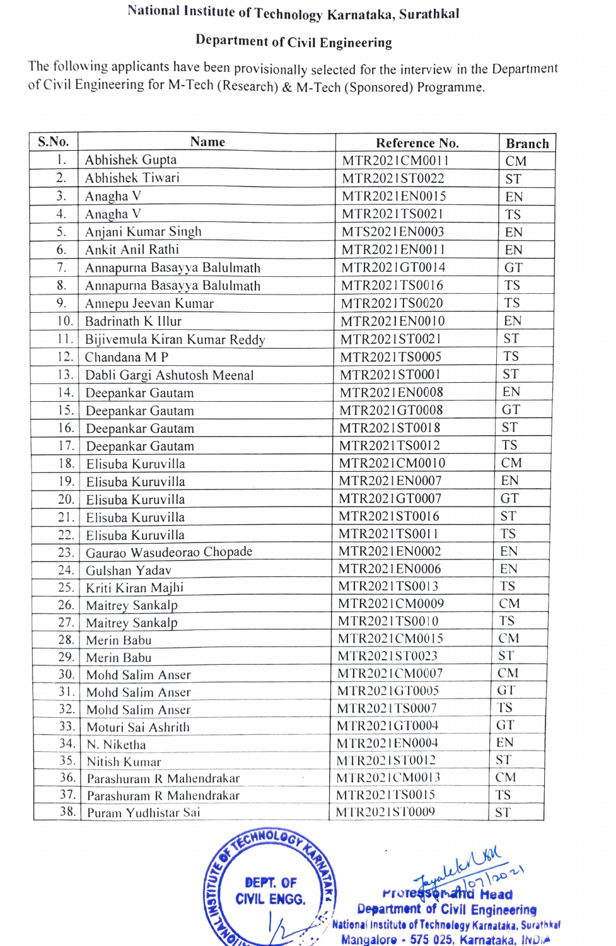## National Institute of Technology Karnataka, Surathkal

## Department of Civil Engineering

The following applicants have been provisionally selected for the interview in the Department of Civil Engineering for M-Tech (Research) & M-Tech (Sponsored) Programme.

| S.No. | <b>Name</b>                  | Reference No. | <b>Branch</b> |
|-------|------------------------------|---------------|---------------|
| 1.    | Abhishek Gupta               | MTR2021CM0011 | CM            |
| 2.    | Abhishek Tiwari              | MTR2021ST0022 | <b>ST</b>     |
| 3.    | Anagha V                     | MTR2021EN0015 | EN            |
| 4.    | Anagha V                     | MTR2021TS0021 | <b>TS</b>     |
| 5.    | Anjani Kumar Singh           | MTS2021EN0003 | EN            |
| 6.    | Ankit Anil Rathi             | MTR2021EN0011 | EN            |
| 7.    | Annapurna Basayya Balulmath  | MTR2021GT0014 | GT            |
| 8.    | Annapurna Basayya Balulmath  | MTR2021TS0016 | <b>TS</b>     |
| 9.    | Annepu Jeevan Kumar          | MTR2021TS0020 | <b>TS</b>     |
| 10.   | Badrinath K Illur            | MTR2021EN0010 | EN            |
| 11.   | Bijivemula Kiran Kumar Reddy | MTR2021ST0021 | <b>ST</b>     |
| 12.   | Chandana M P                 | MTR2021TS0005 | <b>TS</b>     |
| 3.    | Dabli Gargi Ashutosh Meenal  | MTR2021ST0001 | <b>ST</b>     |
| 14.   | Deepankar Gautam             | MTR2021EN0008 | EN            |
| 5.    | Deepankar Gautam             | MTR2021GT0008 | GT            |
| 16.   | Deepankar Gautam             | MTR2021ST0018 | <b>ST</b>     |
| 17.   | Deepankar Gautam             | MTR2021TS0012 | <b>TS</b>     |
| 18.   | Elisuba Kuruvilla            | MTR2021CM0010 | <b>CM</b>     |
| 19.   | Elisuba Kuruvilla            | MTR2021EN0007 | EN            |
| 20.   | Elisuba Kuruvilla            | MTR2021GT0007 | GT            |
| 21.   | Elisuba Kuruvilla            | MTR2021ST0016 | <b>ST</b>     |
| 22.   | Elisuba Kuruvilla            | MTR2021TS0011 | <b>TS</b>     |
| 23.   | Gaurao Wasudeorao Chopade    | MTR2021EN0002 | EN            |
| 24.   | Gulshan Yadav                | MTR2021EN0006 | EN            |
| 25.   | Kriti Kiran Majhi            | MTR2021TS0013 | <b>TS</b>     |
| 26.   | Maitrey Sankalp              | MTR2021CM0009 | <b>CM</b>     |
| 27.   | Maitrey Sankalp              | MTR2021TS0010 | <b>TS</b>     |
| 28.   | Merin Babu                   | MTR2021CM0015 | CM            |
| 29.   | Merin Babu                   | MTR2021ST0023 | <b>ST</b>     |
| 30.   | Mohd Salim Anser             | MTR2021CM0007 | CM            |
| 31.   | Mohd Salim Anser             | MTR2021GT0005 | <b>GT</b>     |
| 32.   | Mohd Salim Anser             | MTR2021TS0007 | <b>TS</b>     |
| 33.   | Moturi Sai Ashrith           | MTR2021GT0004 | <b>GT</b>     |
| 34.   | N. Niketha                   | MTR2021EN0004 | EN            |
| 35.   | Nitish Kumar                 | MTR2021ST0012 | <b>ST</b>     |
| 36.   | Parashuram R Mahendrakar     | MTR2021CM0013 | CM            |
| 37.   | Parashuram R Mahendrakar     | MTR2021TS0015 | <b>TS</b>     |
| 38.   | Puram Yudhistar Sai          | MTR2021ST0009 | <b>ST</b>     |



Nationai Institute of Technelegy Karnataka, Surathka Mangalore - 575 025, Karnataka, INDIA Protesson and Head  $CIVIL$  ENGG.  $\begin{bmatrix} 1 \\ 2 \end{bmatrix}$  Department of Civil Engineering